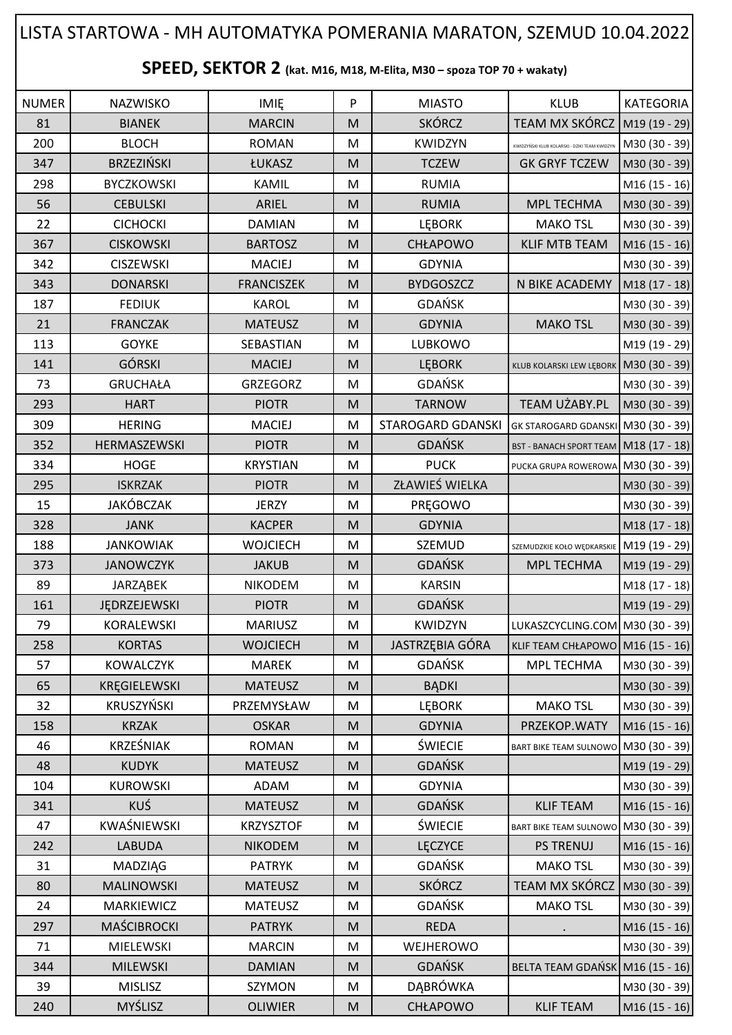## NUMER | NAZWISKO | IMIĘ | P | MIASTO | KLUB |KATEGORIA 81 | BIANEK | MARCIN | M | SKÓRCZ | TEAM MX SKÓRCZ | M19 (19 - 29) 200 BLOCH ROMAN M KWIDZYN KWIDZYŃSKI KLUB KOLARSKI - DZIKI TEAM KWIDZYN M30 (30 - 39) 347 BRZEZIŃSKI ŁUKASZ M TCZEW GK GRYF TCZEW M30 (30 - 39) 298 | BYCZKOWSKI | KAMIL | M | RUMIA | M16 (15 - 16) 56 | CEBULSKI | ARIEL |M | RUMIA | MPL TECHMA |M30 (30 - 39) 22 | CICHOCKI | DAMIAN |M | LĘBORK | MAKO<code>TSL |</code>M30 (30 - 39) 367 CISKOWSKI BARTOSZ M CHŁAPOWO KLIF MTB TEAM M16 (15 - 16) 342 | CISZEWSKI | MACIEJ |M | GDYNIA | M30 (30 - 39) 343 | DONARSKI | FRANCISZEK | M | BYDGOSZCZ | N BIKE ACADEMY | M18 (17 - 18) 187 | FEDIUK | KAROL | M | GDAŃSK | M30 (30 - 39) 21 | FRANCZAK | MATEUSZ |M | GDYNIA | MAKO<code>TSL</code> |M30 (30 - 39) 113 | GOYKE | SEBASTIAN | M | LUBKOWO | |M19 (19 - 29) 141 | GÓRSKI | MACIEJ | M LEBORK | KLUB KOLARSKI LEW LEBORK | M30 (30 - 39) 73 | GRUCHAŁA | GRZEGORZ | M | GDAŃSK | | M30 (30 - 39) 293 HART PIOTR M TARNOW TEAM UŻABY.PL M30 (30 - 39) 309 HERING HERING MACIEJ M STAROGARD GDANSKI GK STAROGARD GDANSKI M30 (30 - 39) 352 HERMASZEWSKI PIOTR M M GDAŃSK BST - BANACH SPORT TEAM M18 (17 - 18) 334 HOGE KRYSTIAN M PUCK PUCK PUCKA GRUPA ROWEROWA M30 (30 - 39) 295 | ISKRZAK | PIOTR | M | ZŁAWIEŚ WIELKA | M30 (30 - 39) 15 | JAKÓBCZAK | JERZY | M | PRĘGOWO | |M30 (30 - 39) 328 JANK | KACPER | M | GDYNIA | M18 (17 - 18) **SPEED, SEKTOR 2 (kat. M16, M18, M-Elita, M30 – spoza TOP 70 + wakaty)** LISTA STARTOWA - MH AUTOMATYKA POMERANIA MARATON, SZEMUD 10.04.2022

188 JANKOWIAK WOJCIECH M SZEMUD SZEMUD SZEMUDZKIE KOŁO WEDKARSKIE M19 (19 - 29) 373 | JANOWCZYK | JAKUB |M | GDAŃSK | MPL TECHMA |M19 (19 - 29) 89 | JARZĄBEK | NIKODEM | M | KARSIN | | M18 (17 - 18) 161 | JĘDRZEJEWSKI | PIOTR | M | GDAŃSK | M19 (19 - 29) 79 KORALEWSKI MARIUSZ M KWIDZYN LUKASZCYCLING.COM M30 (30 - 39) 258 | KORTAS | WOJCIECH | M | JASTRZĘBIA GÓRA KLIF TEAM CHŁAPOWO M16 (15 - 16) 57 | KOWALCZYK | MAREK |M | GDAŃSK | MPL TECHMA |M30 (30 - 39) 65 | KREGIELEWSKI | MATEUSZ | M | BADKI | M30 (30 - 39) 32 | KRUSZYŃSKI | PRZEMYSŁAW | M | LĘBORK | MAKO<code>TSL |</code>M30 (30 - 39) 158 KRZAK OSKAR M GDYNIA PRZEKOP.WATY M16 (15 - 16) 46 | KRZEŚNIAK | ROMAN | M | ŚWIECIE | BART BIKE TEAM SULNOWO M30 (30 - 39) 48 KUDYK MATEUSZ M GDAŃSK M19 (19 - 29) 104 | KUROWSKI | ADAM | M | GDYNIA | | M30 (30 - 39) 341 | KUŚ | MATEUSZ |M | GDAŃSK | KLIF TEAM |M16 (15 - 16) 47 | KWAŚNIEWSKI | KRZYSZTOF | M | ŚWIECIE | BART BIKE TEAM SULNOWO M30 (30 - 39) 242 | LABUDA | NIKODEM | M | LĘCZYCE | PS\_TRENUJ |M16(15 - 16) 31 | MADZIĄG | PATRYK |M | GDAŃSK | MAKO TSL |M30 (30 - 39) 80 MALINOWSKI MATEUSZ M MATEUSZ M SKÓRCZ TEAM MX SKÓRCZ M30 (30 - 39) 24 | MARKIEWICZ | MATEUSZ |M | GDAŃSK | MAKO<code>TSL</code> |M30 (30 - 39) 297 | MAŚCIBROCKI | PATRYK || M | REDA || . || M16 (15 - 16) 71 | MIELEWSKI | MARCIN |M | WEJHEROWO | M30 (30 - 39) 344 | MILEWSKI | DAMIAN | M | GDAŃSK | BELTA TEAM GDAŃSK M16 (15 - 16) 39 | MISLISZ | SZYMON |M | DĄBRÓWKA | |M30 (30 - 39) 240 | MYŚLISZ | OLIWIER |M | CHŁAPOWO | KLIF $\,$ TEAM |M16 $\,$ (15 -<code>16</code>)